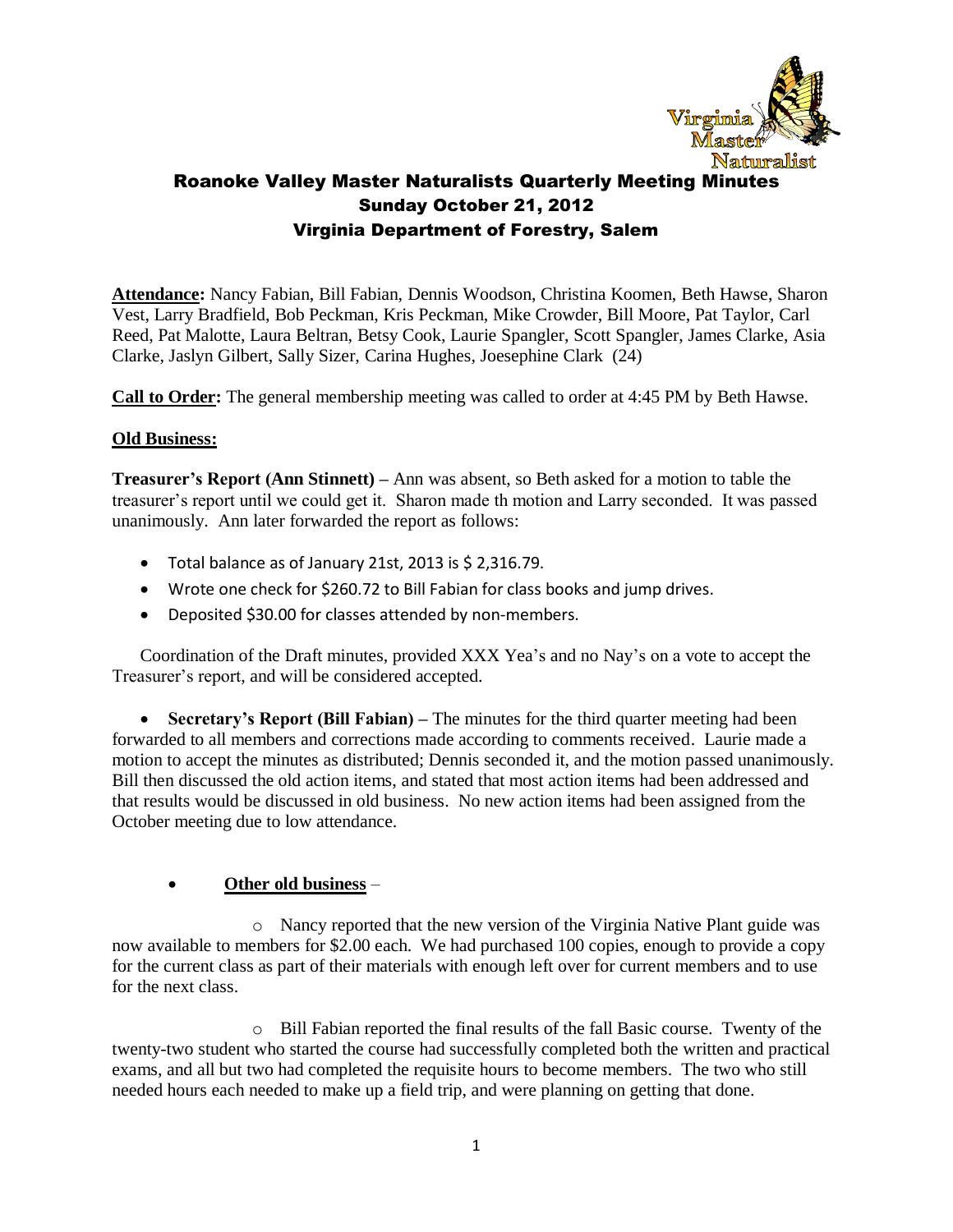

**Attendance:** Nancy Fabian, Bill Fabian, Dennis Woodson, Christina Koomen, Beth Hawse, Sharon Vest, Larry Bradfield, Bob Peckman, Kris Peckman, Mike Crowder, Bill Moore, Pat Taylor, Carl Reed, Pat Malotte, Laura Beltran, Betsy Cook, Laurie Spangler, Scott Spangler, James Clarke, Asia Clarke, Jaslyn Gilbert, Sally Sizer, Carina Hughes, Joesephine Clark (24)

**Call to Order:** The general membership meeting was called to order at 4:45 PM by Beth Hawse.

#### **Old Business:**

**Treasurer's Report (Ann Stinnett) –** Ann was absent, so Beth asked for a motion to table the treasurer's report until we could get it. Sharon made th motion and Larry seconded. It was passed unanimously. Ann later forwarded the report as follows:

- Total balance as of January 21st, 2013 is \$ 2,316.79.
- Wrote one check for \$260.72 to Bill Fabian for class books and jump drives.
- Deposited \$30.00 for classes attended by non-members.

Coordination of the Draft minutes, provided XXX Yea's and no Nay's on a vote to accept the Treasurer's report, and will be considered accepted.

• **Secretary's Report (Bill Fabian)** – The minutes for the third quarter meeting had been forwarded to all members and corrections made according to comments received. Laurie made a motion to accept the minutes as distributed; Dennis seconded it, and the motion passed unanimously. Bill then discussed the old action items, and stated that most action items had been addressed and that results would be discussed in old business. No new action items had been assigned from the October meeting due to low attendance.

## **Other old business** –

o Nancy reported that the new version of the Virginia Native Plant guide was now available to members for \$2.00 each. We had purchased 100 copies, enough to provide a copy for the current class as part of their materials with enough left over for current members and to use for the next class.

o Bill Fabian reported the final results of the fall Basic course. Twenty of the twenty-two student who started the course had successfully completed both the written and practical exams, and all but two had completed the requisite hours to become members. The two who still needed hours each needed to make up a field trip, and were planning on getting that done.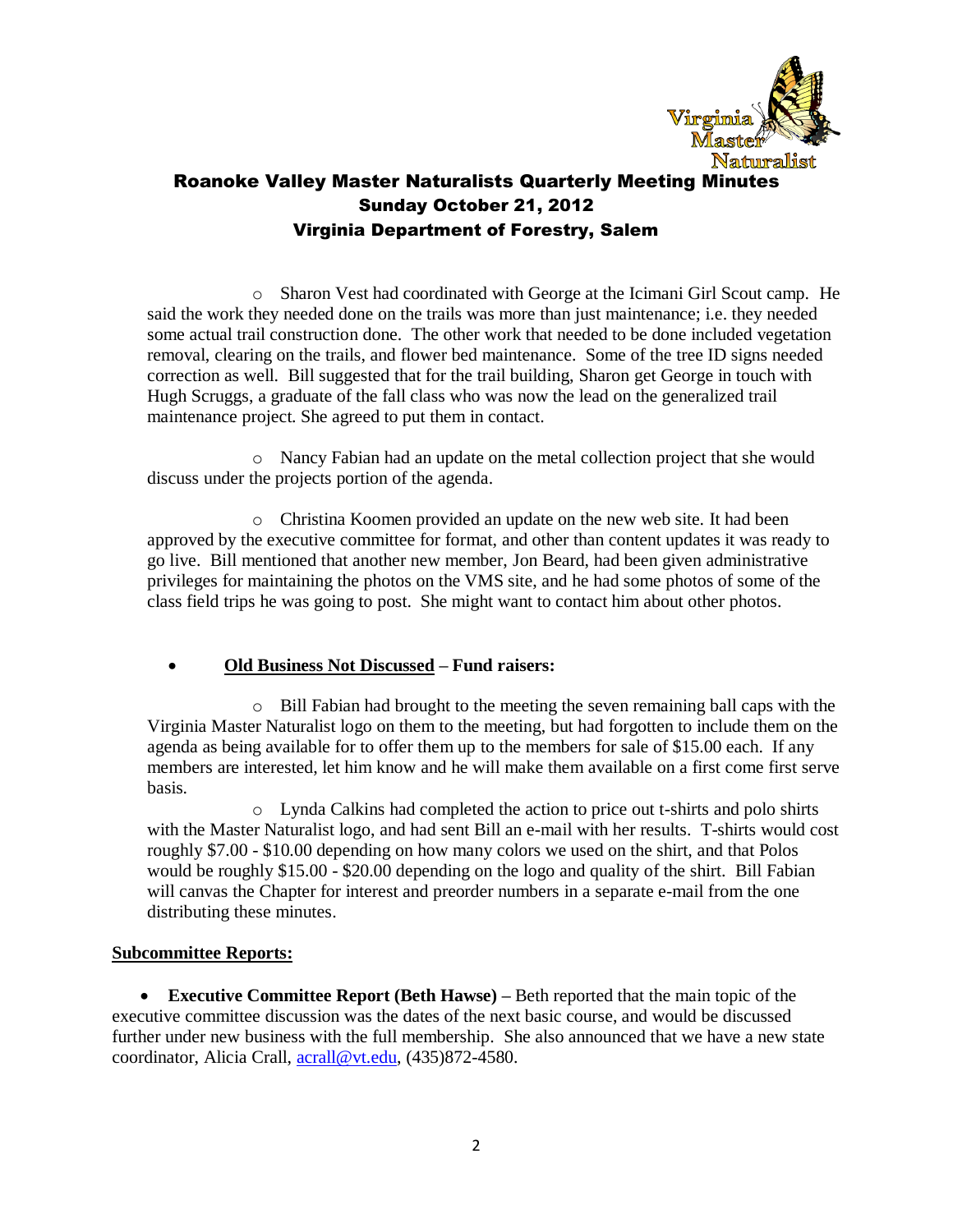

o Sharon Vest had coordinated with George at the Icimani Girl Scout camp. He said the work they needed done on the trails was more than just maintenance; i.e. they needed some actual trail construction done. The other work that needed to be done included vegetation removal, clearing on the trails, and flower bed maintenance. Some of the tree ID signs needed correction as well. Bill suggested that for the trail building, Sharon get George in touch with Hugh Scruggs, a graduate of the fall class who was now the lead on the generalized trail maintenance project. She agreed to put them in contact.

o Nancy Fabian had an update on the metal collection project that she would discuss under the projects portion of the agenda.

o Christina Koomen provided an update on the new web site. It had been approved by the executive committee for format, and other than content updates it was ready to go live. Bill mentioned that another new member, Jon Beard, had been given administrative privileges for maintaining the photos on the VMS site, and he had some photos of some of the class field trips he was going to post. She might want to contact him about other photos.

## **Old Business Not Discussed – Fund raisers:**

o Bill Fabian had brought to the meeting the seven remaining ball caps with the Virginia Master Naturalist logo on them to the meeting, but had forgotten to include them on the agenda as being available for to offer them up to the members for sale of \$15.00 each. If any members are interested, let him know and he will make them available on a first come first serve basis.

o Lynda Calkins had completed the action to price out t-shirts and polo shirts with the Master Naturalist logo, and had sent Bill an e-mail with her results. T-shirts would cost roughly \$7.00 - \$10.00 depending on how many colors we used on the shirt, and that Polos would be roughly \$15.00 - \$20.00 depending on the logo and quality of the shirt. Bill Fabian will canvas the Chapter for interest and preorder numbers in a separate e-mail from the one distributing these minutes.

## **Subcommittee Reports:**

 **Executive Committee Report (Beth Hawse) –** Beth reported that the main topic of the executive committee discussion was the dates of the next basic course, and would be discussed further under new business with the full membership. She also announced that we have a new state coordinator, Alicia Crall, [acrall@vt.edu,](mailto:acrall@vt.edu) (435)872-4580.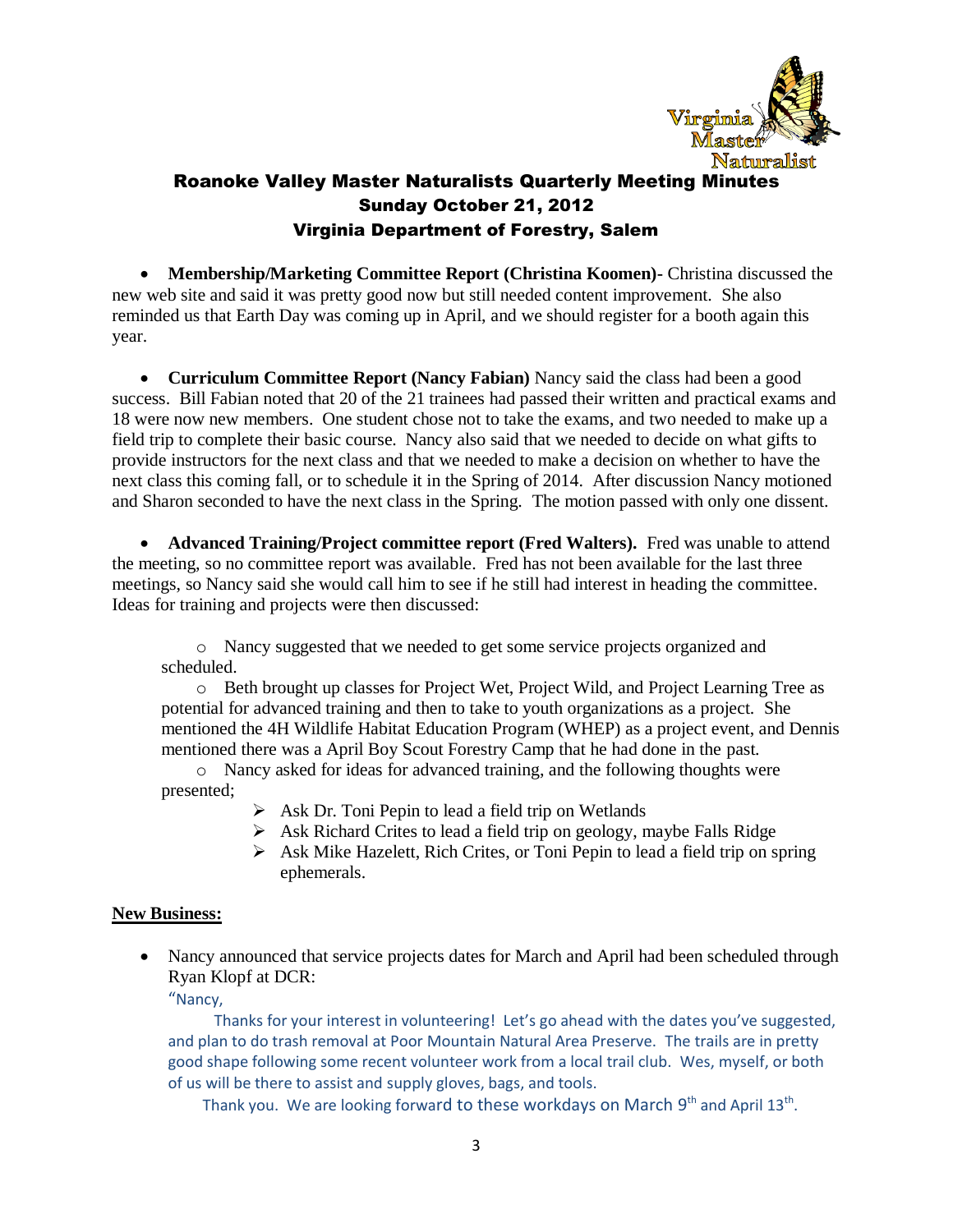

 **Membership/Marketing Committee Report (Christina Koomen)-** Christina discussed the new web site and said it was pretty good now but still needed content improvement. She also reminded us that Earth Day was coming up in April, and we should register for a booth again this year.

 **Curriculum Committee Report (Nancy Fabian)** Nancy said the class had been a good success. Bill Fabian noted that 20 of the 21 trainees had passed their written and practical exams and 18 were now new members. One student chose not to take the exams, and two needed to make up a field trip to complete their basic course. Nancy also said that we needed to decide on what gifts to provide instructors for the next class and that we needed to make a decision on whether to have the next class this coming fall, or to schedule it in the Spring of 2014. After discussion Nancy motioned and Sharon seconded to have the next class in the Spring. The motion passed with only one dissent.

**• Advanced Training/Project committee report (Fred Walters).** Fred was unable to attend the meeting, so no committee report was available. Fred has not been available for the last three meetings, so Nancy said she would call him to see if he still had interest in heading the committee. Ideas for training and projects were then discussed:

o Nancy suggested that we needed to get some service projects organized and scheduled.

o Beth brought up classes for Project Wet, Project Wild, and Project Learning Tree as potential for advanced training and then to take to youth organizations as a project. She mentioned the 4H Wildlife Habitat Education Program (WHEP) as a project event, and Dennis mentioned there was a April Boy Scout Forestry Camp that he had done in the past.

o Nancy asked for ideas for advanced training, and the following thoughts were presented;

- $\triangleright$  Ask Dr. Toni Pepin to lead a field trip on Wetlands
- $\triangleright$  Ask Richard Crites to lead a field trip on geology, maybe Falls Ridge
- $\triangleright$  Ask Mike Hazelett, Rich Crites, or Toni Pepin to lead a field trip on spring ephemerals.

#### **New Business:**

• Nancy announced that service projects dates for March and April had been scheduled through Ryan Klopf at DCR:

"Nancy,

 Thanks for your interest in volunteering! Let's go ahead with the dates you've suggested, and plan to do trash removal at Poor Mountain Natural Area Preserve. The trails are in pretty good shape following some recent volunteer work from a local trail club. Wes, myself, or both of us will be there to assist and supply gloves, bags, and tools.

Thank you. We are looking forward to these workdays on March  $9<sup>th</sup>$  and April 13<sup>th</sup>.